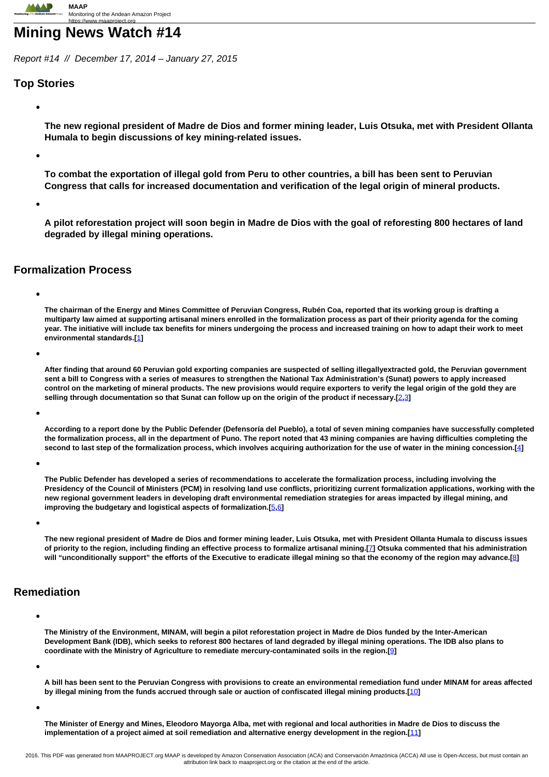# **Mining News Watch #14**

Report #14 // December 17, 2014 – January 27, 2015

# **Top Stories**

**The new regional president of Madre de Dios and former mining leader, Luis Otsuka, met with President Ollanta Humala to begin discussions of key mining-related issues.**

**To combat the exportation of illegal gold from Peru to other countries, a bill has been sent to Peruvian Congress that calls for increased documentation and verification of the legal origin of mineral products.**

**A pilot reforestation project will soon begin in Madre de Dios with the goal of reforesting 800 hectares of land degraded by illegal mining operations.**

## **Formalization Process**

**The chairman of the Energy and Mines Committee of Peruvian Congress, Rubén Coa, reported that its working group is drafting a multiparty law aimed at supporting artisanal miners enrolled in the formalization process as part of their priority agenda for the coming year. The initiative will include tax benefits for miners undergoing the process and increased training on how to adapt their work to meet environmental standards.[**[1](http://www.andina.com.pe/agencia/noticia-congreso-prepara-norma-para-apoyar-a-mineros-vias-formalizacion-536947.aspx)**]**

**After finding that around 60 Peruvian gold exporting companies are suspected of selling illegallyextracted gold, the Peruvian government sent a bill to Congress with a series of measures to strengthen the National Tax Administration's (Sunat) powers to apply increased control on the marketing of mineral products. The new provisions would require exporters to verify the legal origin of the gold they are selling through documentation so that Sunat can follow up on the origin of the product if necessary.[**2**,**3**]**

**According to a report done by the Public Defender (Defensoría del Pueblo), a total of seven mining companies have successfully completed the formalization process, all in the department of Puno. The report noted that 43 mining companies are having difficulties completing the second to last step of the formalization process, which involves acquiring authorization for the use of water in the mining concession.[**4**]**

**The Public Defender has developed a series of recommendations to accelerate the formalization process, including involving the Presidency of the Council of Ministers (PCM) in resolving land use conflicts, prioritizing current formalization applications, working with the new regional government leaders in developing draft environmental remediation strategies for areas impacted by illegal mining, and improving the budgetary and logistical aspects of formalization.[**5**,**6**]**

**The new regional president of Madre de Dios and former mining leader, Luis Otsuka, met with President Ollanta Humala to discuss issues of priority to the region, including finding an effective process to formalize artisanal mining.[**7**] Otsuka commented that his administration will "unconditionally support" the efforts of the Executive to eradicate illegal mining so that the economy of the region may advance.[**8**]**

## **Remediation**

**The Ministry of the Environment, MINAM, will begin a pilot reforestation project in Madre de Dios funded by the Inter-American Development Bank (IDB), which seeks to reforest 800 hectares of land degraded by illegal mining operations. The IDB also plans to coordinate with the Ministry of Agriculture to remediate mercury-contaminated soils in the region.[**9**]**

**A bill has been sent to the Peruvian Congress with provisions to create an environmental remediation fund under MINAM for areas affected by illegal mining from the funds accrued through sale or auction of confiscated illegal mining products.[**10**]**

**The Minister of Energy and Mines, Eleodoro Mayorga Alba, met with regional and local authorities in Madre de Dios to discuss the implementation of a project aimed at soil remediation and alternative energy development in the region.[**11**]**